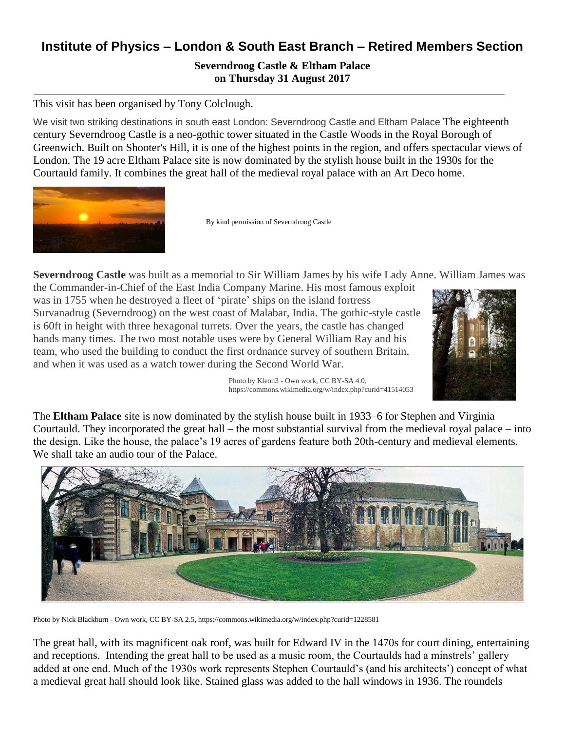# **Institute of Physics – London & South East Branch – Retired Members Section**

**Severndroog Castle & Eltham Palace on Thursday 31 August 2017**

#### This visit has been organised by Tony Colclough.

We visit two striking destinations in south east London: Severndroog Castle and Eltham Palace The eighteenth century Severndroog Castle is a neo-gothic tower situated in the Castle Woods in the Royal Borough of Greenwich. Built on Shooter's Hill, it is one of the highest points in the region, and offers spectacular views of London. The 19 acre Eltham Palace site is now dominated by the stylish house built in the 1930s for the Courtauld family. It combines the great hall of the medieval royal palace with an Art Deco home.



By kind permission of Severndroog Castle

**Severndroog Castle** was built as a memorial to Sir William James by his wife Lady Anne. William James was

the Commander-in-Chief of the East India Company Marine. His most famous exploit was in 1755 when he destroyed a fleet of 'pirate' ships on the island fortress Survanadrug (Severndroog) on the west coast of Malabar, India. The gothic-style castle is 60ft in height with three hexagonal turrets. Over the years, the castle has changed hands many times. The two most notable uses were by General William Ray and his team, who used the building to conduct the first ordnance survey of southern Britain, and when it was used as a watch tower during the Second World War.



Photo by Kleon3 - Own work, CC BY-SA 4.0, https://commons.wikimedia.org/w/index.php?curid=41514053

The **Eltham Palace** site is now dominated by the stylish house built in 1933–6 for Stephen and Virginia Courtauld. They incorporated the great hall – the most substantial survival from the medieval royal palace – into the design. Like the house, the palace's 19 acres of gardens feature both 20th-century and medieval elements. We shall take an audio tour of the Palace.



Photo by Nick Blackburn - Own work, CC BY-SA 2.5, https://commons.wikimedia.org/w/index.php?curid=1228581

The great hall, with its magnificent oak roof, was built for Edward IV in the 1470s for court dining, entertaining and receptions. Intending the great hall to be used as a music room, the Courtaulds had a minstrels' gallery added at one end. Much of the 1930s work represents Stephen Courtauld's (and his architects') concept of what a medieval great hall should look like. Stained glass was added to the hall windows in 1936. The roundels